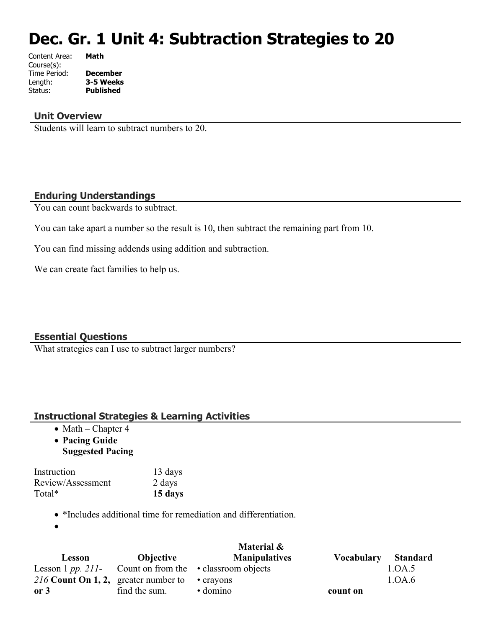# **Dec. Gr. 1 Unit 4: Subtraction Strategies to 20**

| Content Area: | Math             |
|---------------|------------------|
| Course(s):    |                  |
| Time Period:  | <b>December</b>  |
| Length:       | 3-5 Weeks        |
| Status:       | <b>Published</b> |
|               |                  |

#### **Unit Overview**

Students will learn to subtract numbers to 20.

#### **Enduring Understandings**

You can count backwards to subtract.

You can take apart a number so the result is 10, then subtract the remaining part from 10.

You can find missing addends using addition and subtraction.

We can create fact families to help us.

#### **Essential Questions**

What strategies can I use to subtract larger numbers?

### **Instructional Strategies & Learning Activities**

- $\bullet$  Math Chapter 4
- **Pacing Guide Suggested Pacing**

| Instruction       | 13 days |
|-------------------|---------|
| Review/Assessment | 2 days  |
| Total*            | 15 days |

\*Includes additional time for remediation and differentiation.

 $\bullet$ 

|                                                      |                  | Material &                                                      |                   |                 |
|------------------------------------------------------|------------------|-----------------------------------------------------------------|-------------------|-----------------|
| Lesson                                               | <b>Objective</b> | <b>Manipulatives</b>                                            | <b>Vocabulary</b> | <b>Standard</b> |
|                                                      |                  | Lesson 1 pp. 211- Count on from the $\bullet$ classroom objects |                   | 1.OA.5          |
| 216 Count On 1, 2, greater number to $\cdot$ crayons |                  |                                                                 |                   | 1.0A.6          |
| or 3                                                 | find the sum.    | $\cdot$ domino                                                  | count on          |                 |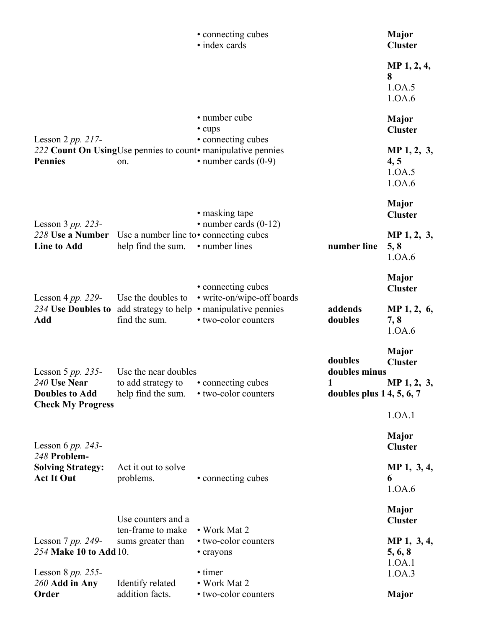|                                                                                           |                                                                                     | • connecting cubes<br>· index cards                                                                              |                                                             | <b>Major</b><br><b>Cluster</b>                |
|-------------------------------------------------------------------------------------------|-------------------------------------------------------------------------------------|------------------------------------------------------------------------------------------------------------------|-------------------------------------------------------------|-----------------------------------------------|
|                                                                                           |                                                                                     |                                                                                                                  |                                                             | MP 1, 2, 4,<br>8<br>1.0A.5<br>1.0A.6          |
|                                                                                           |                                                                                     | • number cube<br>• cups                                                                                          |                                                             | <b>Major</b><br><b>Cluster</b>                |
| Lesson 2 pp. 217-<br><b>Pennies</b>                                                       | on.                                                                                 | • connecting cubes<br>222 Count On UsingUse pennies to count• manipulative pennies<br>$\cdot$ number cards (0-9) |                                                             | MP 1, 2, 3,<br>4, 5<br>1.0A.5<br>1.0A.6       |
| Lesson $3 pp. 223$ -                                                                      |                                                                                     | • masking tape<br>$\cdot$ number cards (0-12)                                                                    |                                                             | <b>Major</b><br><b>Cluster</b>                |
| 228 Use a Number<br><b>Line to Add</b>                                                    | Use a number line to $\cdot$ connecting cubes<br>help find the sum.                 | • number lines                                                                                                   | number line                                                 | MP 1, 2, 3,<br>5, 8<br>1.0A.6                 |
|                                                                                           |                                                                                     | • connecting cubes                                                                                               |                                                             | <b>Major</b><br><b>Cluster</b>                |
| Lesson 4 pp. 229-<br>234 Use Doubles to<br>Add                                            | Use the doubles to<br>find the sum.                                                 | • write-on/wipe-off boards<br>add strategy to help • manipulative pennies<br>• two-color counters                | addends<br>doubles                                          | MP $1, 2, 6,$<br>7, 8<br>1.0A.6               |
| Lesson 5 $pp. 235$ -<br>240 Use Near<br><b>Doubles to Add</b><br><b>Check My Progress</b> | Use the near doubles<br>to add strategy to • connecting cubes<br>help find the sum. | • two-color counters                                                                                             | doubles<br>doubles minus<br>1<br>doubles plus $14, 5, 6, 7$ | <b>Major</b><br><b>Cluster</b><br>MP 1, 2, 3, |
|                                                                                           |                                                                                     |                                                                                                                  |                                                             | 1.0A.1                                        |
| Lesson 6 pp. 243-<br>248 Problem-                                                         |                                                                                     |                                                                                                                  |                                                             | <b>Major</b><br><b>Cluster</b>                |
| <b>Solving Strategy:</b><br><b>Act It Out</b>                                             | Act it out to solve<br>problems.                                                    | • connecting cubes                                                                                               |                                                             | MP 1, 3, 4,<br>6<br>1.0A.6                    |
|                                                                                           | Use counters and a                                                                  |                                                                                                                  |                                                             | <b>Major</b><br><b>Cluster</b>                |
| Lesson $7$ pp. 249-<br>254 Make 10 to Add 10.                                             | ten-frame to make<br>sums greater than                                              | • Work Mat 2<br>• two-color counters<br>• crayons                                                                |                                                             | MP 1, 3, 4,<br>5, 6, 8                        |
| Lesson 8 $pp. 255$ -<br>260 Add in Any<br>Order                                           | Identify related<br>addition facts.                                                 | • timer<br>• Work Mat 2<br>• two-color counters                                                                  |                                                             | 1.0A.1<br>1.0A.3<br><b>Major</b>              |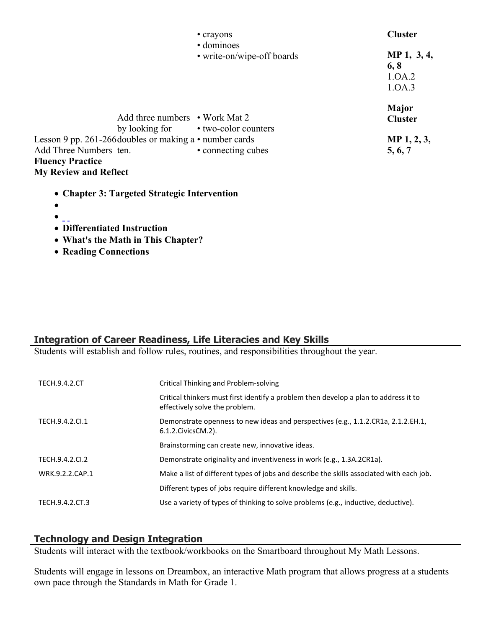|                                                                                         | • crayons                                                             | <b>Cluster</b>                          |
|-----------------------------------------------------------------------------------------|-----------------------------------------------------------------------|-----------------------------------------|
|                                                                                         | • dominoes<br>• write-on/wipe-off boards                              | MP 1, 3, 4,<br>6, 8<br>1.0A.2<br>1.0A.3 |
|                                                                                         | Add three numbers • Work Mat 2<br>by looking for • two-color counters | Major<br><b>Cluster</b>                 |
| Lesson 9 pp. 261-266 doubles or making a $\cdot$ number cards<br>Add Three Numbers ten. | • connecting cubes                                                    | MP 1, 2, 3,<br>5, 6, 7                  |
| <b>Fluency Practice</b><br><b>My Review and Reflect</b>                                 |                                                                       |                                         |
| • Chapter 3: Targeted Strategic Intervention                                            |                                                                       |                                         |

- $\bullet$   $\overline{\phantom{a}}$
- **Differentiated Instruction**
- **What's the Math in This Chapter?**
- **Reading Connections**

## **Integration of Career Readiness, Life Literacies and Key Skills**

Students will establish and follow rules, routines, and responsibilities throughout the year.

| <b>TECH.9.4.2.CT</b> | Critical Thinking and Problem-solving                                                                                  |
|----------------------|------------------------------------------------------------------------------------------------------------------------|
|                      | Critical thinkers must first identify a problem then develop a plan to address it to<br>effectively solve the problem. |
| TECH.9.4.2.Cl.1      | Demonstrate openness to new ideas and perspectives (e.g., 1.1.2.CR1a, 2.1.2.EH.1,<br>6.1.2. Civics CM. 2).             |
|                      | Brainstorming can create new, innovative ideas.                                                                        |
| TECH.9.4.2.CI.2      | Demonstrate originality and inventiveness in work (e.g., 1.3A.2CR1a).                                                  |
| WRK.9.2.2.CAP.1      | Make a list of different types of jobs and describe the skills associated with each job.                               |
|                      | Different types of jobs require different knowledge and skills.                                                        |
| TECH.9.4.2.CT.3      | Use a variety of types of thinking to solve problems (e.g., inductive, deductive).                                     |

# **Technology and Design Integration**

Students will interact with the textbook/workbooks on the Smartboard throughout My Math Lessons.

Students will engage in lessons on Dreambox, an interactive Math program that allows progress at a students own pace through the Standards in Math for Grade 1.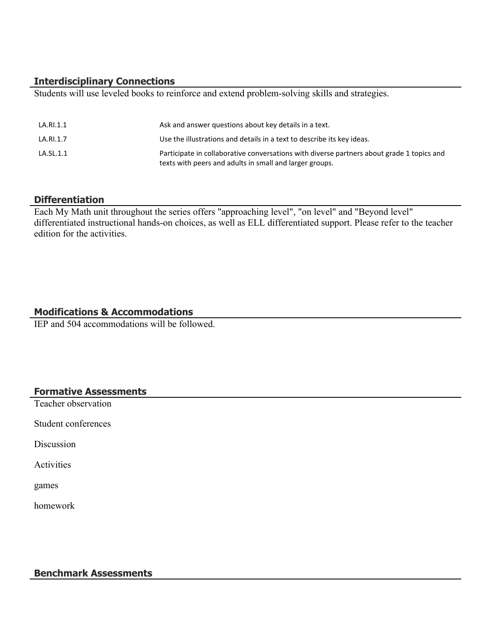#### **Interdisciplinary Connections**

Students will use leveled books to reinforce and extend problem-solving skills and strategies.

| LA.RI.1.1 | Ask and answer questions about key details in a text.                                                                                                |
|-----------|------------------------------------------------------------------------------------------------------------------------------------------------------|
| LA.RI.1.7 | Use the illustrations and details in a text to describe its key ideas.                                                                               |
| LA.SL.1.1 | Participate in collaborative conversations with diverse partners about grade 1 topics and<br>texts with peers and adults in small and larger groups. |

#### **Differentiation**

Each My Math unit throughout the series offers "approaching level", "on level" and "Beyond level" differentiated instructional hands-on choices, as well as ELL differentiated support. Please refer to the teacher edition for the activities.

#### **Modifications & Accommodations**

IEP and 504 accommodations will be followed.

#### **Formative Assessments**

Teacher observation

Student conferences

**Discussion** 

**Activities** 

games

homework

#### **Benchmark Assessments**